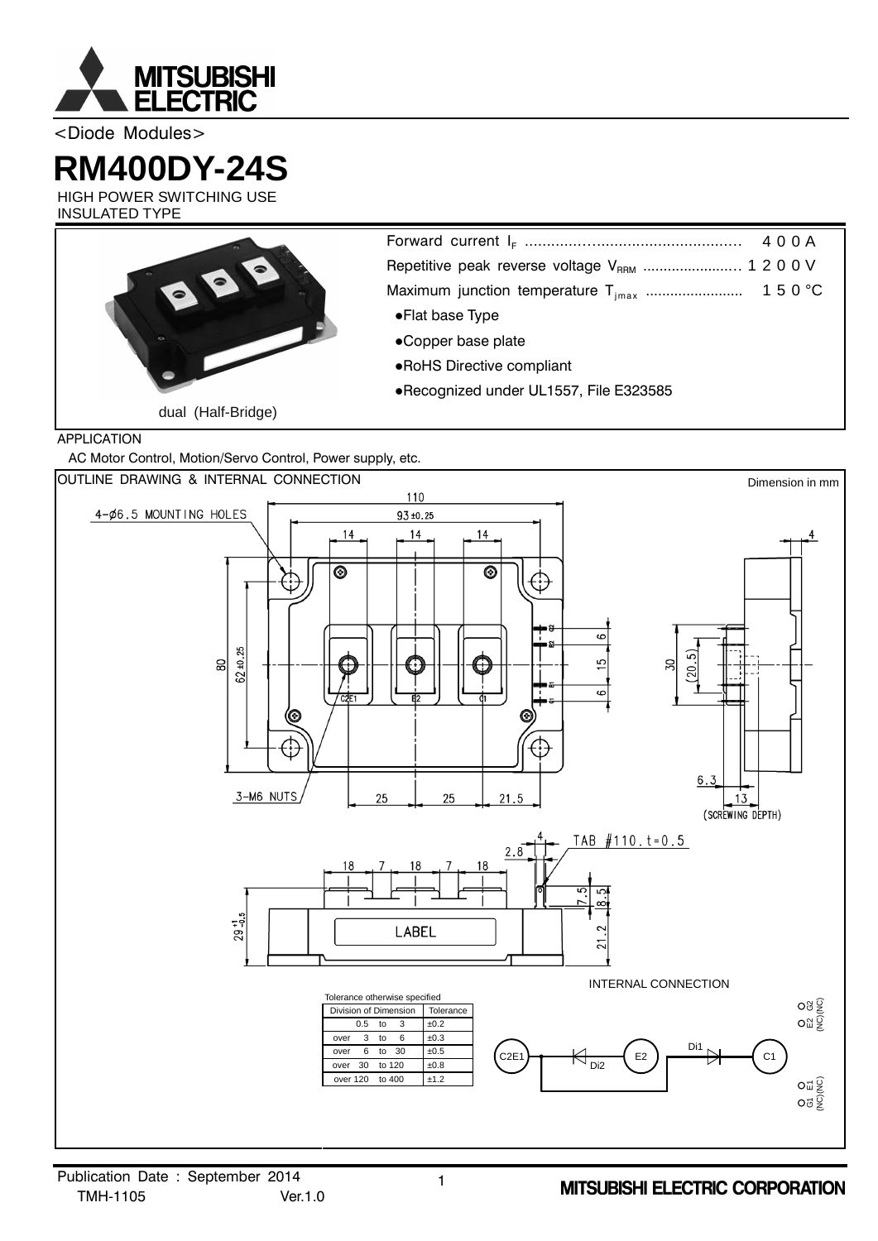

<Diode Modules>

# **RM400DY-24S**

HIGH POWER SWITCHING USE INSULATED TYPE



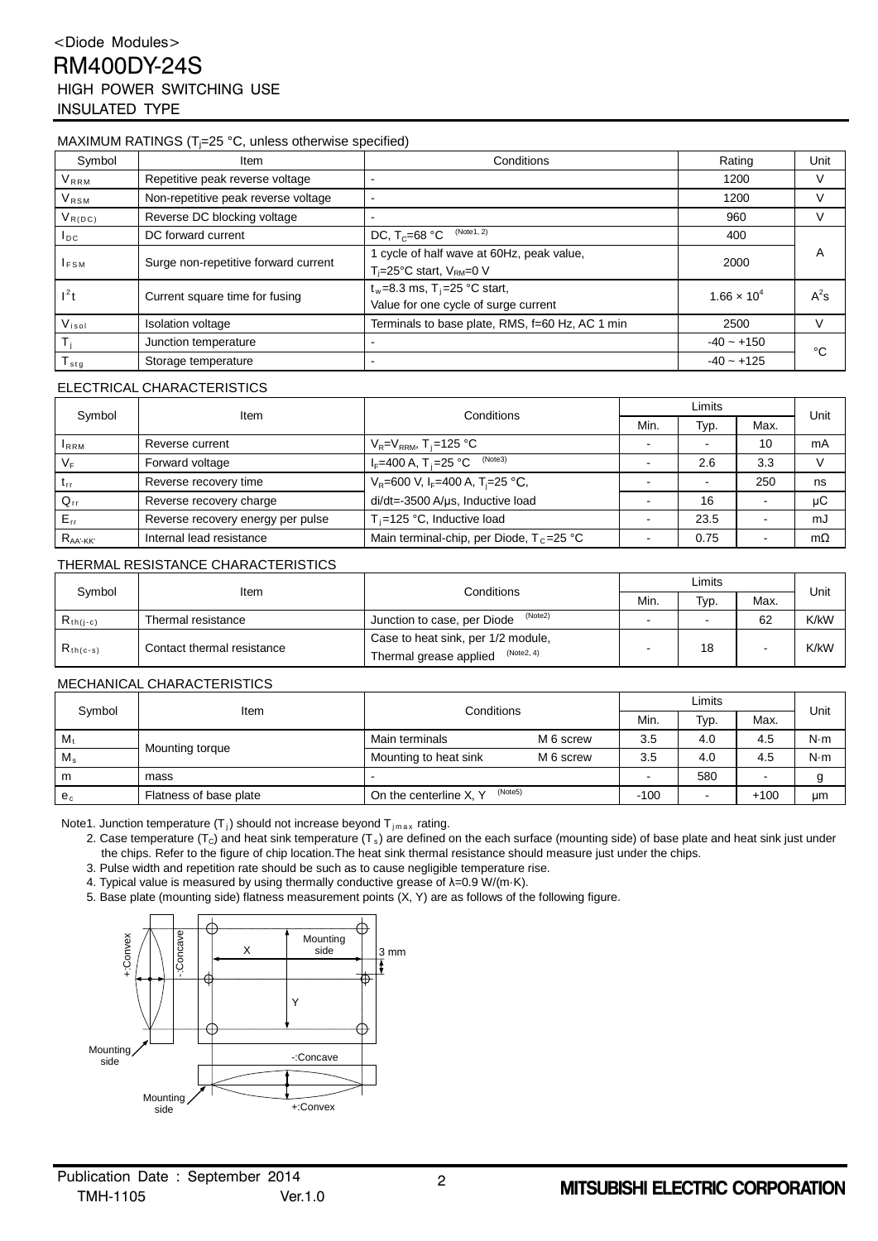## <Diode Modules> RM400DY-24S HIGH POWER SWITCHING USE INSULATED TYPE

#### MAXIMUM RATINGS (T<sub>i</sub>=25 °C, unless otherwise specified)

| Symbol                  | Item                                 | Conditions                                                                            | Rating               | Unit   |
|-------------------------|--------------------------------------|---------------------------------------------------------------------------------------|----------------------|--------|
| <b>V</b> <sub>RRM</sub> | Repetitive peak reverse voltage      |                                                                                       | 1200                 | V      |
| <b>VRSM</b>             | Non-repetitive peak reverse voltage  |                                                                                       | 1200                 | v      |
| $V_{R(DC)}$             | Reverse DC blocking voltage          |                                                                                       | 960                  | V      |
| $I_{DC}$                | DC forward current                   | (Note1, 2)<br>DC, $T_c = 68 °C$                                                       | 400                  |        |
| $I_{FSM}$               | Surge non-repetitive forward current | cycle of half wave at 60Hz, peak value,<br>$T_i = 25^{\circ}$ C start, $V_{RM} = 0$ V | 2000                 | A      |
| $l^2t$                  | Current square time for fusing       | $t_w = 8.3$ ms, T <sub>j</sub> =25 °C start,<br>Value for one cycle of surge current  | $1.66 \times 10^{4}$ | $A^2s$ |
| $V_{iso}$               | <b>Isolation voltage</b>             | Terminals to base plate, RMS, f=60 Hz, AC 1 min                                       | 2500                 | V      |
|                         | Junction temperature                 |                                                                                       | $-40 - +150$         | °C     |
| $I_{\text{stg}}$        | Storage temperature                  |                                                                                       | $-40 - +125$         |        |

#### ELECTRICAL CHARACTERISTICS

| Symbol          | Item                              | Conditions                                                  | Limits |      |      |      |
|-----------------|-----------------------------------|-------------------------------------------------------------|--------|------|------|------|
|                 |                                   |                                                             | Min.   | Typ. | Max. | Unit |
| <b>IRRM</b>     | Reverse current                   | $V_R = V_{RRM}$ , T <sub>i</sub> =125 °C                    |        |      | 10   | mA   |
| $V_F$           | Forward voltage                   | (Note3)<br>$I_F = 400 A, T = 25 °C$                         |        | 2.6  | 3.3  |      |
| $L_{\text{rf}}$ | Reverse recovery time             | $V_R$ =600 V, I <sub>F</sub> =400 A, T <sub>i</sub> =25 °C, |        |      | 250  | ns   |
| $Q_{rr}$        | Reverse recovery charge           | di/dt=-3500 A/us, Inductive load                            |        | 16   |      | μC   |
| $E_{\rm rr}$    | Reverse recovery energy per pulse | $T_i = 125$ °C, Inductive load                              |        | 23.5 |      | mJ   |
| $R_{AA'-KK'}$   | Internal lead resistance          | Main terminal-chip, per Diode, $T_c = 25$ °C                |        | 0.75 |      | mΩ   |

#### THERMAL RESISTANCE CHARACTERISTICS

| Symbol        | Item                       | Conditions                             | ∟imits |      |      | Unit |
|---------------|----------------------------|----------------------------------------|--------|------|------|------|
|               |                            |                                        | Min.   | Typ. | Max. |      |
| $R_{th(j-c)}$ | Thermal resistance         | (Note2)<br>Junction to case, per Diode |        |      | 62   | K/kW |
| $R_{th(c-s)}$ | Contact thermal resistance | Case to heat sink, per 1/2 module,     |        | 18   |      | K/kW |
|               |                            | (Note2, 4)<br>Thermal grease applied   |        |      |      |      |

#### MECHANICAL CHARACTERISTICS

| Symbol      | Item                   | Conditions                        |           | Limits |      |        | Unit |
|-------------|------------------------|-----------------------------------|-----------|--------|------|--------|------|
|             |                        |                                   |           | Min.   | Typ. | Max.   |      |
| $M_{t}$     | Mounting torque        | Main terminals                    | M 6 screw | 3.5    | 4.0  | 4.5    | N·m  |
| $M_{\rm s}$ |                        | Mounting to heat sink             | M 6 screw | 3.5    | 4.0  | 4.5    | N·m  |
| m           | mass                   |                                   |           |        | 580  |        |      |
| $e_c$       | Flatness of base plate | (Note5)<br>On the centerline X, Y |           | $-100$ |      | $+100$ | μm   |

Note1. Junction temperature  $(T_j)$  should not increase beyond  $T_{jmax}$  rating.

2. Case temperature (T<sub>c</sub>) and heat sink temperature (T<sub>s</sub>) are defined on the each surface (mounting side) of base plate and heat sink just under the chips. Refer to the figure of chip location.The heat sink thermal resistance should measure just under the chips.

3. Pulse width and repetition rate should be such as to cause negligible temperature rise.

4. Typical value is measured by using thermally conductive grease of  $\lambda = 0.9$  W/(m·K).

5. Base plate (mounting side) flatness measurement points (X, Y) are as follows of the following figure.

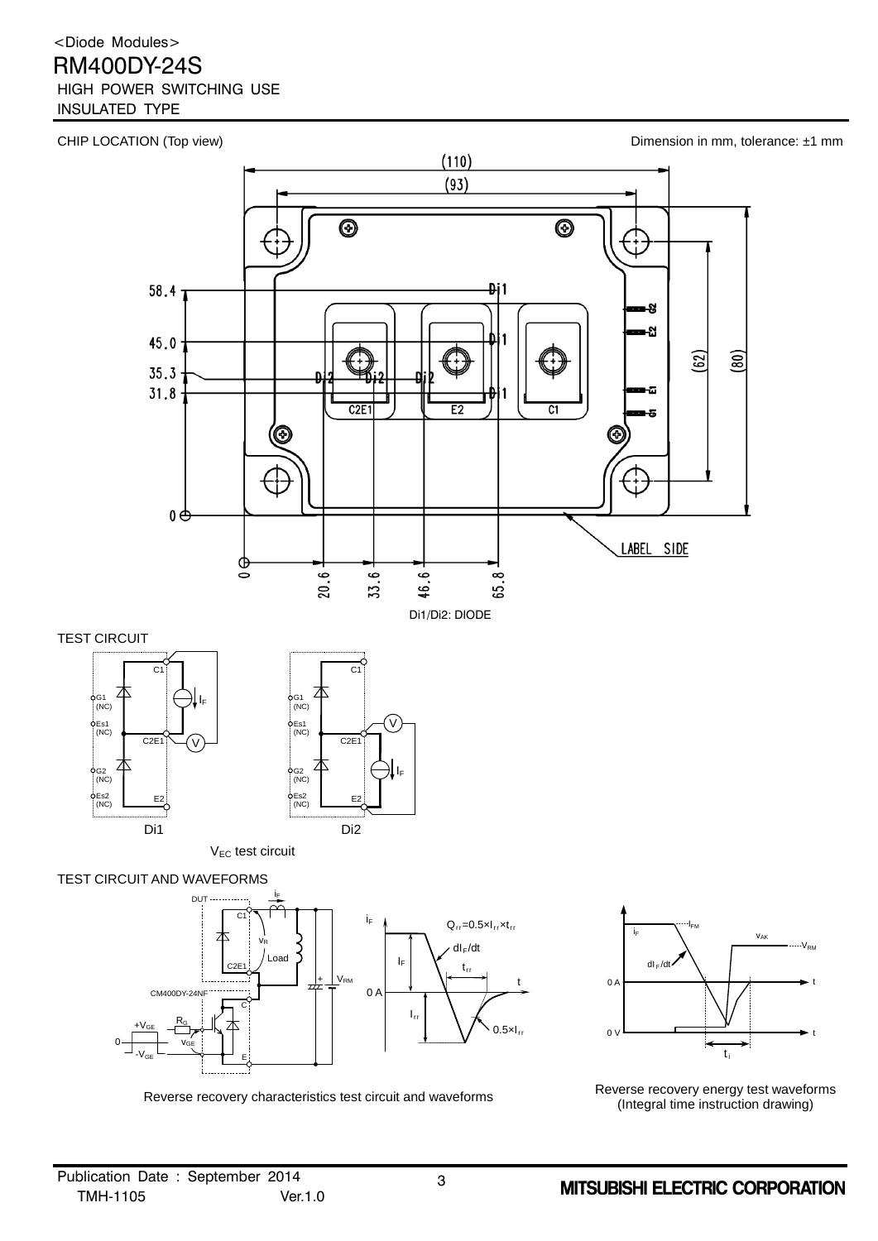## <Diode Modules>

## RM400DY-24S

## HIGH POWER SWITCHING USE

INSULATED TYPE



Di1 Di2

V<sub>EC</sub> test circuit

 $\dot{\phi}$ Es2  $\overline{N}$ ( $\overline{N}$ )

### TEST CIRCUIT AND WAVEFORMS

Es2 **E2**<br>(NC)





Reverse recovery characteristics test circuit and waveforms Reverse recovery energy test waveforms Reverse recovery energy test waveforms (Integral time instruction drawing)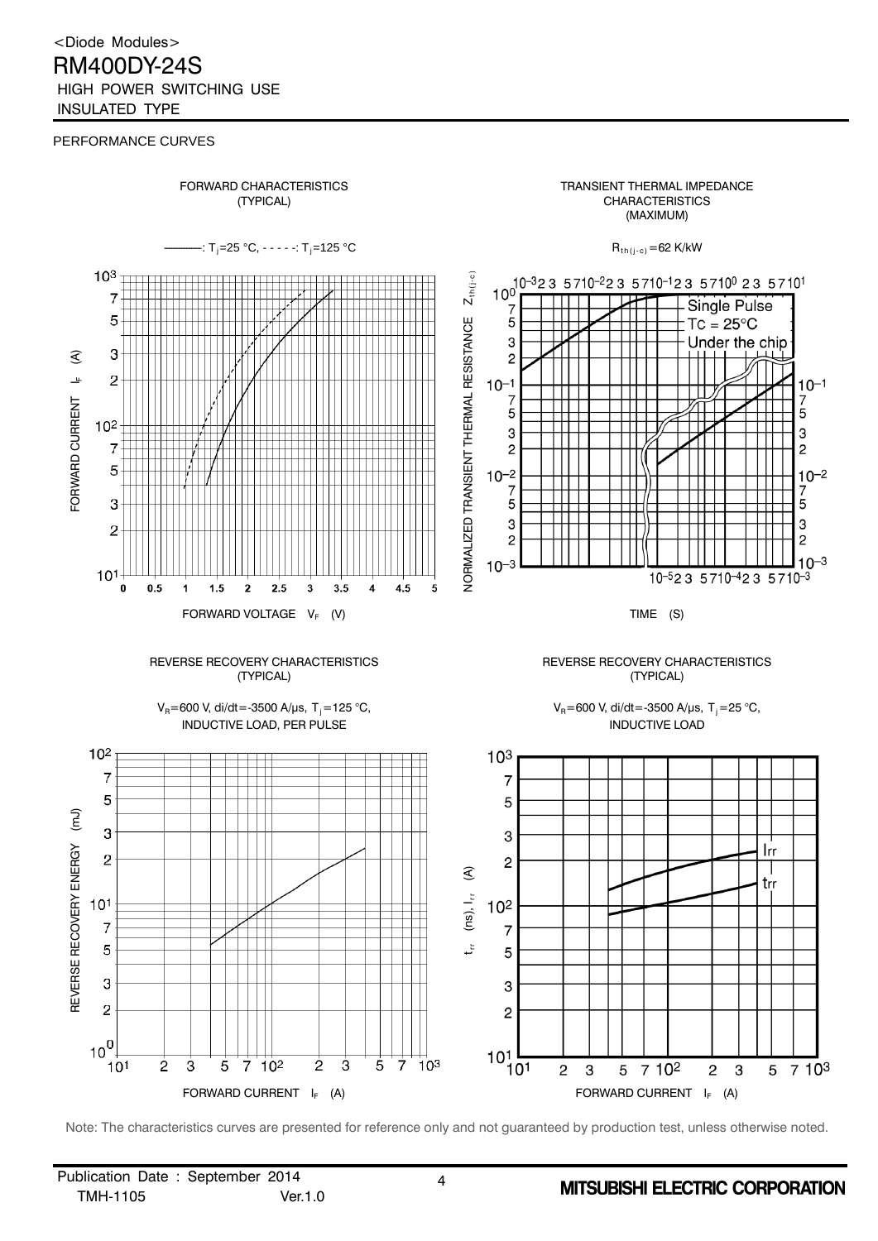<Diode Modules> RM400DY-24S HIGH POWER SWITCHING USE INSULATED TYPE

#### PERFORMANCE CURVES



Note: The characteristics curves are presented for reference only and not guaranteed by production test, unless otherwise noted.

Publication Date : September 2014 4 TMH-1105 Ver.1.0